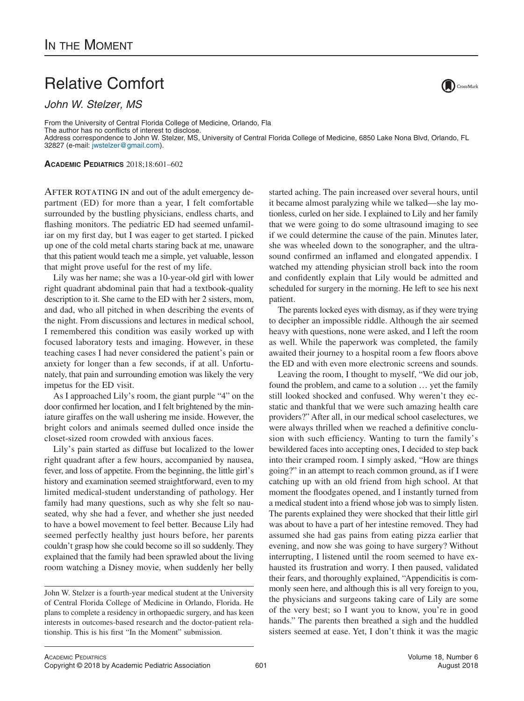## Relative Comfort

*John W. Stelzer, MS*

From the University of Central Florida College of Medicine, Orlando, Fla The author has no conflicts of interest to disclose. Address correspondence to John W. Stelzer, MS, University of Central Florida College of Medicine, 6850 Lake Nona Blvd, Orlando, FL 32827 (e-mail: [jwstelzer@gmail.com\)](mailto:jwstelzer@gmail.com).

**ACADEMIC PEDIATRICS** 2018;18:601–602

AFTER ROTATING IN and out of the adult emergency department (ED) for more than a year, I felt comfortable surrounded by the bustling physicians, endless charts, and flashing monitors. The pediatric ED had seemed unfamiliar on my first day, but I was eager to get started. I picked up one of the cold metal charts staring back at me, unaware that this patient would teach me a simple, yet valuable, lesson that might prove useful for the rest of my life.

Lily was her name; she was a 10-year-old girl with lower right quadrant abdominal pain that had a textbook-quality description to it. She came to the ED with her 2 sisters, mom, and dad, who all pitched in when describing the events of the night. From discussions and lectures in medical school, I remembered this condition was easily worked up with focused laboratory tests and imaging. However, in these teaching cases I had never considered the patient's pain or anxiety for longer than a few seconds, if at all. Unfortunately, that pain and surrounding emotion was likely the very impetus for the ED visit.

As I approached Lily's room, the giant purple "4" on the door confirmed her location, and I felt brightened by the miniature giraffes on the wall ushering me inside. However, the bright colors and animals seemed dulled once inside the closet-sized room crowded with anxious faces.

Lily's pain started as diffuse but localized to the lower right quadrant after a few hours, accompanied by nausea, fever, and loss of appetite. From the beginning, the little girl's history and examination seemed straightforward, even to my limited medical-student understanding of pathology. Her family had many questions, such as why she felt so nauseated, why she had a fever, and whether she just needed to have a bowel movement to feel better. Because Lily had seemed perfectly healthy just hours before, her parents couldn't grasp how she could become so ill so suddenly. They explained that the family had been sprawled about the living room watching a Disney movie, when suddenly her belly

started aching. The pain increased over several hours, until it became almost paralyzing while we talked—she lay motionless, curled on her side. I explained to Lily and her family that we were going to do some ultrasound imaging to see if we could determine the cause of the pain. Minutes later, she was wheeled down to the sonographer, and the ultrasound confirmed an inflamed and elongated appendix. I watched my attending physician stroll back into the room and confidently explain that Lily would be admitted and scheduled for surgery in the morning. He left to see his next patient.

The parents locked eyes with dismay, as if they were trying to decipher an impossible riddle. Although the air seemed heavy with questions, none were asked, and I left the room as well. While the paperwork was completed, the family awaited their journey to a hospital room a few floors above the ED and with even more electronic screens and sounds.

Leaving the room, I thought to myself, "We did our job, found the problem, and came to a solution … yet the family still looked shocked and confused. Why weren't they ecstatic and thankful that we were such amazing health care providers?" After all, in our medical school caselectures, we were always thrilled when we reached a definitive conclusion with such efficiency. Wanting to turn the family's bewildered faces into accepting ones, I decided to step back into their cramped room. I simply asked, "How are things going?" in an attempt to reach common ground, as if I were catching up with an old friend from high school. At that moment the floodgates opened, and I instantly turned from a medical student into a friend whose job was to simply listen. The parents explained they were shocked that their little girl was about to have a part of her intestine removed. They had assumed she had gas pains from eating pizza earlier that evening, and now she was going to have surgery? Without interrupting, I listened until the room seemed to have exhausted its frustration and worry. I then paused, validated their fears, and thoroughly explained, "Appendicitis is commonly seen here, and although this is all very foreign to you, the physicians and surgeons taking care of Lily are some of the very best; so I want you to know, you're in good hands." The parents then breathed a sigh and the huddled sisters seemed at ease. Yet, I don't think it was the magic



John W. Stelzer is a fourth-year medical student at the University of Central Florida College of Medicine in Orlando, Florida. He plans to complete a residency in orthopaedic surgery, and has keen interests in outcomes-based research and the doctor-patient relationship. This is his first "In the Moment" submission.